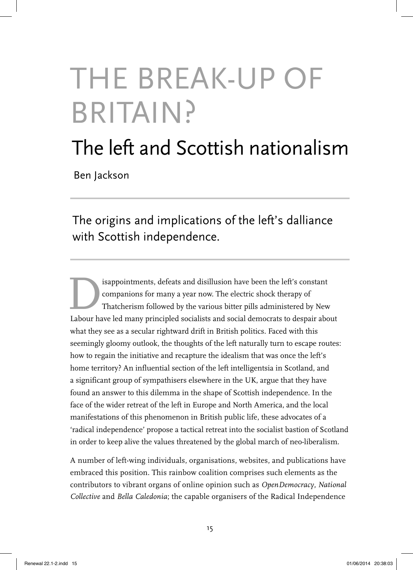# THE BREAK-UP OF BRITAIN?

## The left and Scottish nationalism

Ben Jackson

The origins and implications of the left's dalliance with Scottish independence.

Exploriments, defeats and disillusion have been the left's constant<br>companions for many a year now. The electric shock therapy of<br>Thatcherism followed by the various bitter pills administered by New<br>Labour have led many pr companions for many a year now. The electric shock therapy of Thatcherism followed by the various bitter pills administered by New Labour have led many principled socialists and social democrats to despair about what they see as a secular rightward drift in British politics. Faced with this seemingly gloomy outlook, the thoughts of the left naturally turn to escape routes: how to regain the initiative and recapture the idealism that was once the left's home territory? An influential section of the left intelligentsia in Scotland, and a significant group of sympathisers elsewhere in the UK, argue that they have found an answer to this dilemma in the shape of Scottish independence. In the face of the wider retreat of the left in Europe and North America, and the local manifestations of this phenomenon in British public life, these advocates of a 'radical independence' propose a tactical retreat into the socialist bastion of Scotland in order to keep alive the values threatened by the global march of neo-liberalism.

A number of left-wing individuals, organisations, websites, and publications have embraced this position. This rainbow coalition comprises such elements as the contributors to vibrant organs of online opinion such as *OpenDemocracy*, *National Collective* and *Bella Caledonia*; the capable organisers of the Radical Independence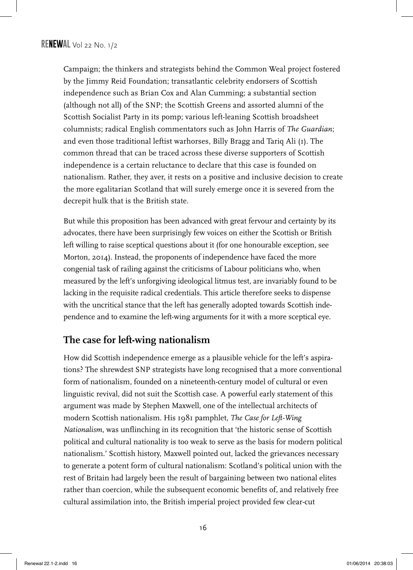Campaign; the thinkers and strategists behind the Common Weal project fostered by the Jimmy Reid Foundation; transatlantic celebrity endorsers of Scottish independence such as Brian Cox and Alan Cumming; a substantial section (although not all) of the SNP; the Scottish Greens and assorted alumni of the Scottish Socialist Party in its pomp; various left-leaning Scottish broadsheet columnists; radical English commentators such as John Harris of *The Guardian*; and even those traditional leftist warhorses, Billy Bragg and Tariq Ali (1). The common thread that can be traced across these diverse supporters of Scottish independence is a certain reluctance to declare that this case is founded on nationalism. Rather, they aver, it rests on a positive and inclusive decision to create the more egalitarian Scotland that will surely emerge once it is severed from the decrepit hulk that is the British state.

But while this proposition has been advanced with great fervour and certainty by its advocates, there have been surprisingly few voices on either the Scottish or British left willing to raise sceptical questions about it (for one honourable exception, see Morton, 2014). Instead, the proponents of independence have faced the more congenial task of railing against the criticisms of Labour politicians who, when measured by the left's unforgiving ideological litmus test, are invariably found to be lacking in the requisite radical credentials. This article therefore seeks to dispense with the uncritical stance that the left has generally adopted towards Scottish independence and to examine the left-wing arguments for it with a more sceptical eye.

### **The case for left-wing nationalism**

How did Scottish independence emerge as a plausible vehicle for the left's aspirations? The shrewdest SNP strategists have long recognised that a more conventional form of nationalism, founded on a nineteenth-century model of cultural or even linguistic revival, did not suit the Scottish case. A powerful early statement of this argument was made by Stephen Maxwell, one of the intellectual architects of modern Scottish nationalism. His 1981 pamphlet, *The Case for Left-Wing Nationalism*, was unflinching in its recognition that 'the historic sense of Scottish political and cultural nationality is too weak to serve as the basis for modern political nationalism.' Scottish history, Maxwell pointed out, lacked the grievances necessary to generate a potent form of cultural nationalism: Scotland's political union with the rest of Britain had largely been the result of bargaining between two national elites rather than coercion, while the subsequent economic benefits of, and relatively free cultural assimilation into, the British imperial project provided few clear-cut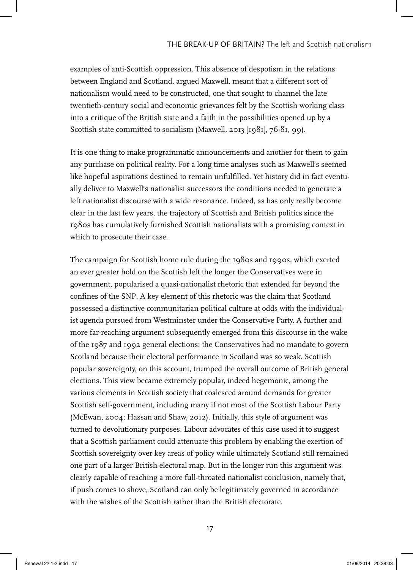examples of anti-Scottish oppression. This absence of despotism in the relations between England and Scotland, argued Maxwell, meant that a different sort of nationalism would need to be constructed, one that sought to channel the late twentieth-century social and economic grievances felt by the Scottish working class into a critique of the British state and a faith in the possibilities opened up by a Scottish state committed to socialism (Maxwell, 2013 [1981], 76-81, 99).

It is one thing to make programmatic announcements and another for them to gain any purchase on political reality. For a long time analyses such as Maxwell's seemed like hopeful aspirations destined to remain unfulfilled. Yet history did in fact eventually deliver to Maxwell's nationalist successors the conditions needed to generate a left nationalist discourse with a wide resonance. Indeed, as has only really become clear in the last few years, the trajectory of Scottish and British politics since the 1980s has cumulatively furnished Scottish nationalists with a promising context in which to prosecute their case.

The campaign for Scottish home rule during the 1980s and 1990s, which exerted an ever greater hold on the Scottish left the longer the Conservatives were in government, popularised a quasi-nationalist rhetoric that extended far beyond the confines of the SNP. A key element of this rhetoric was the claim that Scotland possessed a distinctive communitarian political culture at odds with the individualist agenda pursued from Westminster under the Conservative Party. A further and more far-reaching argument subsequently emerged from this discourse in the wake of the 1987 and 1992 general elections: the Conservatives had no mandate to govern Scotland because their electoral performance in Scotland was so weak. Scottish popular sovereignty, on this account, trumped the overall outcome of British general elections. This view became extremely popular, indeed hegemonic, among the various elements in Scottish society that coalesced around demands for greater Scottish self-government, including many if not most of the Scottish Labour Party (McEwan, 2004; Hassan and Shaw, 2012). Initially, this style of argument was turned to devolutionary purposes. Labour advocates of this case used it to suggest that a Scottish parliament could attenuate this problem by enabling the exertion of Scottish sovereignty over key areas of policy while ultimately Scotland still remained one part of a larger British electoral map. But in the longer run this argument was clearly capable of reaching a more full-throated nationalist conclusion, namely that, if push comes to shove, Scotland can only be legitimately governed in accordance with the wishes of the Scottish rather than the British electorate.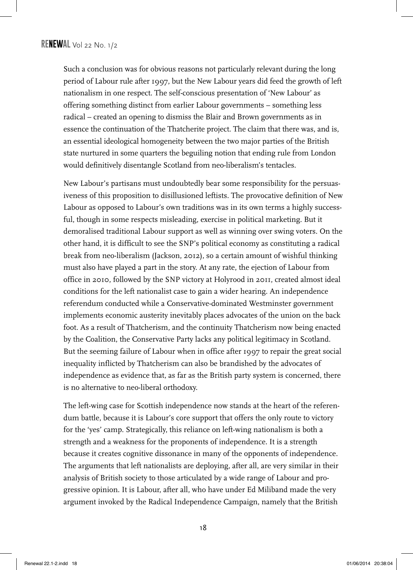Such a conclusion was for obvious reasons not particularly relevant during the long period of Labour rule after 1997, but the New Labour years did feed the growth of left nationalism in one respect. The self-conscious presentation of 'New Labour' as offering something distinct from earlier Labour governments – something less radical – created an opening to dismiss the Blair and Brown governments as in essence the continuation of the Thatcherite project. The claim that there was, and is, an essential ideological homogeneity between the two major parties of the British state nurtured in some quarters the beguiling notion that ending rule from London would definitively disentangle Scotland from neo-liberalism's tentacles.

New Labour's partisans must undoubtedly bear some responsibility for the persuasiveness of this proposition to disillusioned leftists. The provocative definition of New Labour as opposed to Labour's own traditions was in its own terms a highly successful, though in some respects misleading, exercise in political marketing. But it demoralised traditional Labour support as well as winning over swing voters. On the other hand, it is difficult to see the SNP's political economy as constituting a radical break from neo-liberalism (Jackson, 2012), so a certain amount of wishful thinking must also have played a part in the story. At any rate, the ejection of Labour from office in 2010, followed by the SNP victory at Holyrood in 2011, created almost ideal conditions for the left nationalist case to gain a wider hearing. An independence referendum conducted while a Conservative-dominated Westminster government implements economic austerity inevitably places advocates of the union on the back foot. As a result of Thatcherism, and the continuity Thatcherism now being enacted by the Coalition, the Conservative Party lacks any political legitimacy in Scotland. But the seeming failure of Labour when in office after 1997 to repair the great social inequality inflicted by Thatcherism can also be brandished by the advocates of independence as evidence that, as far as the British party system is concerned, there is no alternative to neo-liberal orthodoxy.

The left-wing case for Scottish independence now stands at the heart of the referendum battle, because it is Labour's core support that offers the only route to victory for the 'yes' camp. Strategically, this reliance on left-wing nationalism is both a strength and a weakness for the proponents of independence. It is a strength because it creates cognitive dissonance in many of the opponents of independence. The arguments that left nationalists are deploying, after all, are very similar in their analysis of British society to those articulated by a wide range of Labour and progressive opinion. It is Labour, after all, who have under Ed Miliband made the very argument invoked by the Radical Independence Campaign, namely that the British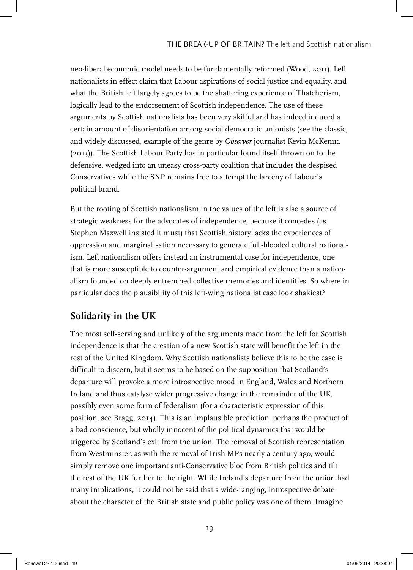neo-liberal economic model needs to be fundamentally reformed (Wood, 2011). Left nationalists in effect claim that Labour aspirations of social justice and equality, and what the British left largely agrees to be the shattering experience of Thatcherism, logically lead to the endorsement of Scottish independence. The use of these arguments by Scottish nationalists has been very skilful and has indeed induced a certain amount of disorientation among social democratic unionists (see the classic, and widely discussed, example of the genre by *Observer* journalist Kevin McKenna (2013)). The Scottish Labour Party has in particular found itself thrown on to the defensive, wedged into an uneasy cross-party coalition that includes the despised Conservatives while the SNP remains free to attempt the larceny of Labour's political brand.

But the rooting of Scottish nationalism in the values of the left is also a source of strategic weakness for the advocates of independence, because it concedes (as Stephen Maxwell insisted it must) that Scottish history lacks the experiences of oppression and marginalisation necessary to generate full-blooded cultural nationalism. Left nationalism offers instead an instrumental case for independence, one that is more susceptible to counter-argument and empirical evidence than a nationalism founded on deeply entrenched collective memories and identities. So where in particular does the plausibility of this left-wing nationalist case look shakiest?

#### **Solidarity in the UK**

The most self-serving and unlikely of the arguments made from the left for Scottish independence is that the creation of a new Scottish state will benefit the left in the rest of the United Kingdom. Why Scottish nationalists believe this to be the case is difficult to discern, but it seems to be based on the supposition that Scotland's departure will provoke a more introspective mood in England, Wales and Northern Ireland and thus catalyse wider progressive change in the remainder of the UK, possibly even some form of federalism (for a characteristic expression of this position, see Bragg, 2014). This is an implausible prediction, perhaps the product of a bad conscience, but wholly innocent of the political dynamics that would be triggered by Scotland's exit from the union. The removal of Scottish representation from Westminster, as with the removal of Irish MPs nearly a century ago, would simply remove one important anti-Conservative bloc from British politics and tilt the rest of the UK further to the right. While Ireland's departure from the union had many implications, it could not be said that a wide-ranging, introspective debate about the character of the British state and public policy was one of them. Imagine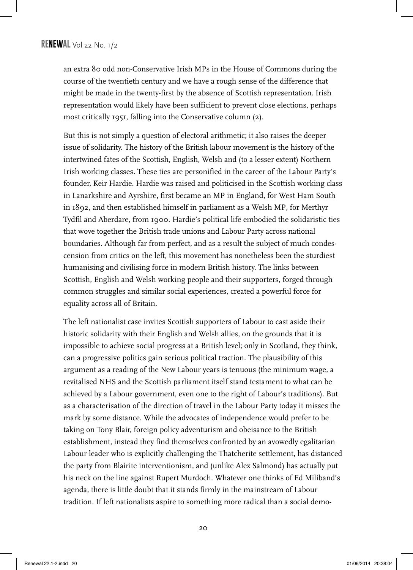an extra 80 odd non-Conservative Irish MPs in the House of Commons during the course of the twentieth century and we have a rough sense of the difference that might be made in the twenty-first by the absence of Scottish representation. Irish representation would likely have been sufficient to prevent close elections, perhaps most critically 1951, falling into the Conservative column (2).

But this is not simply a question of electoral arithmetic; it also raises the deeper issue of solidarity. The history of the British labour movement is the history of the intertwined fates of the Scottish, English, Welsh and (to a lesser extent) Northern Irish working classes. These ties are personified in the career of the Labour Party's founder, Keir Hardie. Hardie was raised and politicised in the Scottish working class in Lanarkshire and Ayrshire, first became an MP in England, for West Ham South in 1892, and then established himself in parliament as a Welsh MP, for Merthyr Tydfil and Aberdare, from 1900. Hardie's political life embodied the solidaristic ties that wove together the British trade unions and Labour Party across national boundaries. Although far from perfect, and as a result the subject of much condescension from critics on the left, this movement has nonetheless been the sturdiest humanising and civilising force in modern British history. The links between Scottish, English and Welsh working people and their supporters, forged through common struggles and similar social experiences, created a powerful force for equality across all of Britain.

The left nationalist case invites Scottish supporters of Labour to cast aside their historic solidarity with their English and Welsh allies, on the grounds that it is impossible to achieve social progress at a British level; only in Scotland, they think, can a progressive politics gain serious political traction. The plausibility of this argument as a reading of the New Labour years is tenuous (the minimum wage, a revitalised NHS and the Scottish parliament itself stand testament to what can be achieved by a Labour government, even one to the right of Labour's traditions). But as a characterisation of the direction of travel in the Labour Party today it misses the mark by some distance. While the advocates of independence would prefer to be taking on Tony Blair, foreign policy adventurism and obeisance to the British establishment, instead they find themselves confronted by an avowedly egalitarian Labour leader who is explicitly challenging the Thatcherite settlement, has distanced the party from Blairite interventionism, and (unlike Alex Salmond) has actually put his neck on the line against Rupert Murdoch. Whatever one thinks of Ed Miliband's agenda, there is little doubt that it stands firmly in the mainstream of Labour tradition. If left nationalists aspire to something more radical than a social demo-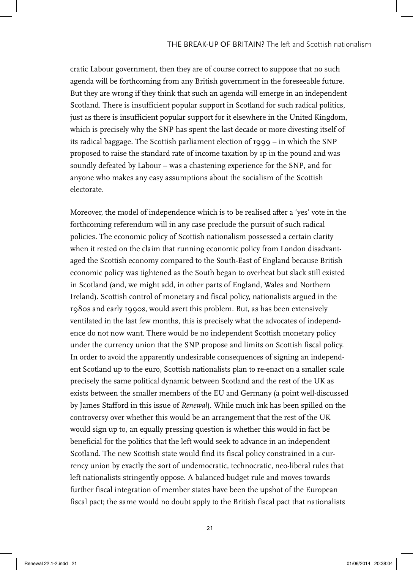cratic Labour government, then they are of course correct to suppose that no such agenda will be forthcoming from any British government in the foreseeable future. But they are wrong if they think that such an agenda will emerge in an independent Scotland. There is insufficient popular support in Scotland for such radical politics, just as there is insufficient popular support for it elsewhere in the United Kingdom, which is precisely why the SNP has spent the last decade or more divesting itself of its radical baggage. The Scottish parliament election of 1999 – in which the SNP proposed to raise the standard rate of income taxation by 1p in the pound and was soundly defeated by Labour – was a chastening experience for the SNP, and for anyone who makes any easy assumptions about the socialism of the Scottish electorate.

Moreover, the model of independence which is to be realised after a 'yes' vote in the forthcoming referendum will in any case preclude the pursuit of such radical policies. The economic policy of Scottish nationalism possessed a certain clarity when it rested on the claim that running economic policy from London disadvantaged the Scottish economy compared to the South-East of England because British economic policy was tightened as the South began to overheat but slack still existed in Scotland (and, we might add, in other parts of England, Wales and Northern Ireland). Scottish control of monetary and fiscal policy, nationalists argued in the 1980s and early 1990s, would avert this problem. But, as has been extensively ventilated in the last few months, this is precisely what the advocates of independence do not now want. There would be no independent Scottish monetary policy under the currency union that the SNP propose and limits on Scottish fiscal policy. In order to avoid the apparently undesirable consequences of signing an independent Scotland up to the euro, Scottish nationalists plan to re-enact on a smaller scale precisely the same political dynamic between Scotland and the rest of the UK as exists between the smaller members of the EU and Germany (a point well-discussed by James Stafford in this issue of *Renewal*). While much ink has been spilled on the controversy over whether this would be an arrangement that the rest of the UK would sign up to, an equally pressing question is whether this would in fact be beneficial for the politics that the left would seek to advance in an independent Scotland. The new Scottish state would find its fiscal policy constrained in a currency union by exactly the sort of undemocratic, technocratic, neo-liberal rules that left nationalists stringently oppose. A balanced budget rule and moves towards further fiscal integration of member states have been the upshot of the European fiscal pact; the same would no doubt apply to the British fiscal pact that nationalists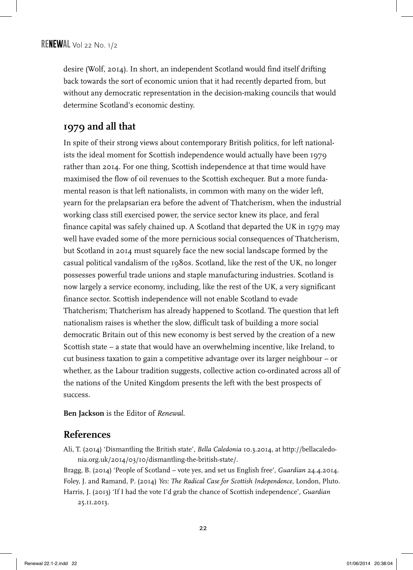desire (Wolf, 2014). In short, an independent Scotland would find itself drifting back towards the sort of economic union that it had recently departed from, but without any democratic representation in the decision-making councils that would determine Scotland's economic destiny.

#### **1979 and all that**

In spite of their strong views about contemporary British politics, for left nationalists the ideal moment for Scottish independence would actually have been 1979 rather than 2014. For one thing, Scottish independence at that time would have maximised the flow of oil revenues to the Scottish exchequer. But a more fundamental reason is that left nationalists, in common with many on the wider left, yearn for the prelapsarian era before the advent of Thatcherism, when the industrial working class still exercised power, the service sector knew its place, and feral finance capital was safely chained up. A Scotland that departed the UK in 1979 may well have evaded some of the more pernicious social consequences of Thatcherism, but Scotland in 2014 must squarely face the new social landscape formed by the casual political vandalism of the 1980s. Scotland, like the rest of the UK, no longer possesses powerful trade unions and staple manufacturing industries. Scotland is now largely a service economy, including, like the rest of the UK, a very significant finance sector. Scottish independence will not enable Scotland to evade Thatcherism; Thatcherism has already happened to Scotland. The question that left nationalism raises is whether the slow, difficult task of building a more social democratic Britain out of this new economy is best served by the creation of a new Scottish state – a state that would have an overwhelming incentive, like Ireland, to cut business taxation to gain a competitive advantage over its larger neighbour – or whether, as the Labour tradition suggests, collective action co-ordinated across all of the nations of the United Kingdom presents the left with the best prospects of success.

**Ben Jackson** is the Editor of *Renewal*.

#### **References**

Ali, T. (2014) 'Dismantling the British state', *Bella Caledonia* 10.3.2014, at http://bellacaledonia.org.uk/2014/03/10/dismantling-the-british-state/.

Bragg, B. (2014) 'People of Scotland – vote yes, and set us English free', *Guardian* 24.4.2014. Foley, J. and Ramand, P. (2014) *Yes: The Radical Case for Scottish Independence*, London, Pluto. Harris, J. (2013) 'If I had the vote I'd grab the chance of Scottish independence', *Guardian* 25.11.2013.